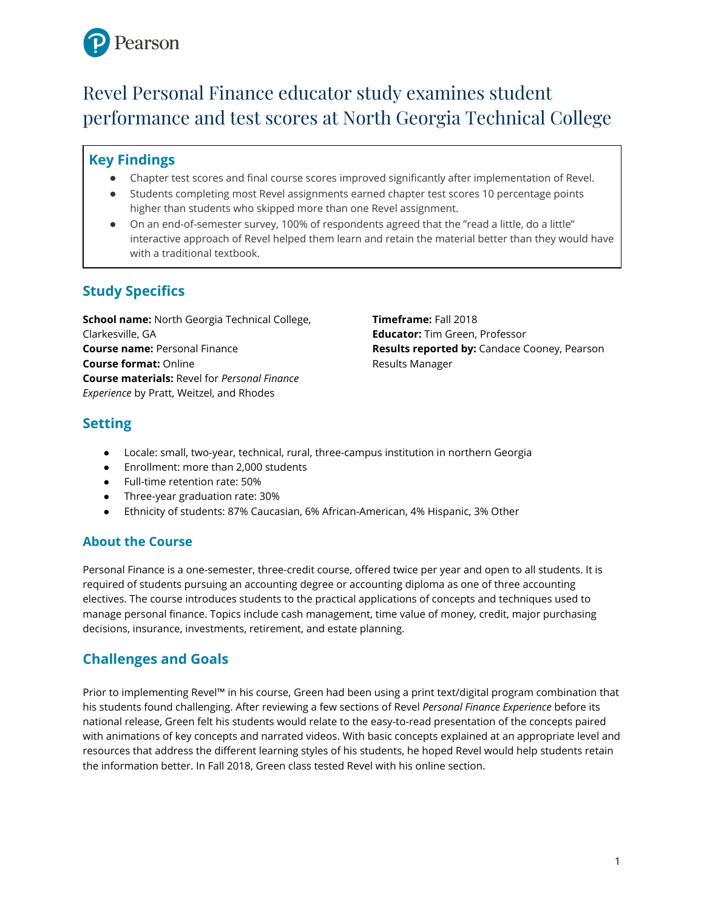

# Revel Personal Finance educator study examines student performance and test scores at North Georgia Technical College

### **Key Findings**

- Chapter test scores and final course scores improved significantly after implementation of Revel.
- Students completing most Revel assignments earned chapter test scores 10 percentage points higher than students who skipped more than one Revel assignment.
- On an end-of-semester survey, 100% of respondents agreed that the "read a little, do a little" interactive approach of Revel helped them learn and retain the material better than they would have with a traditional textbook.

# **Study Specifics**

**School name:** North Georgia Technical College, Clarkesville, GA **Course name:** Personal Finance **Course format:** Online **Course materials:** Revel for *Personal Finance Experience* by Pratt, Weitzel, and Rhodes

**Timeframe:** Fall 2018 **Educator:** Tim Green, Professor **Results reported by:** Candace Cooney, Pearson Results Manager

# **Setting**

- Locale: small, two-year, technical, rural, three-campus institution in northern Georgia
- Enrollment: more than 2,000 students
- Full-time retention rate: 50%
- Three-year graduation rate: 30%
- Ethnicity of students: 87% Caucasian, 6% African-American, 4% Hispanic, 3% Other

### **About the Course**

Personal Finance is a one-semester, three-credit course, offered twice per year and open to all students. It is required of students pursuing an accounting degree or accounting diploma as one of three accounting electives. The course introduces students to the practical applications of concepts and techniques used to manage personal finance. Topics include cash management, time value of money, credit, major purchasing decisions, insurance, investments, retirement, and estate planning.

# **Challenges and Goals**

Prior to implementing Revel™ in his course, Green had been using a print text/digital program combination that his students found challenging. After reviewing a few sections of Revel *Personal Finance Experience* before its national release, Green felt his students would relate to the easy-to-read presentation of the concepts paired with animations of key concepts and narrated videos. With basic concepts explained at an appropriate level and resources that address the different learning styles of his students, he hoped Revel would help students retain the information better. In Fall 2018, Green class tested Revel with his online section.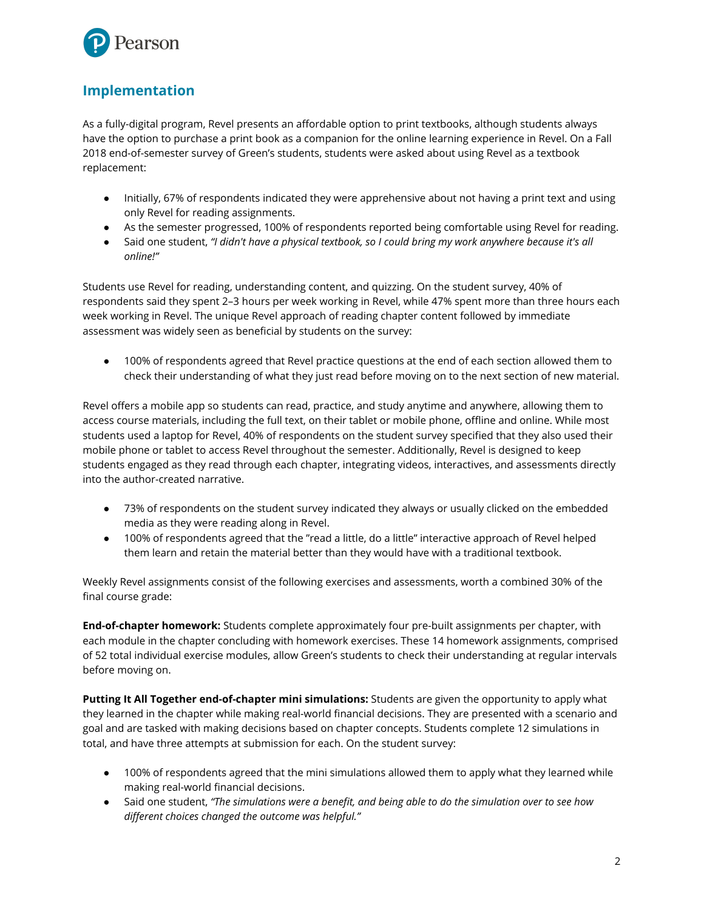

## **Implementation**

As a fully-digital program, Revel presents an affordable option to print textbooks, although students always have the option to purchase a print book as a companion for the online learning experience in Revel. On a Fall 2018 end-of-semester survey of Green's students, students were asked about using Revel as a textbook replacement:

- Initially, 67% of respondents indicated they were apprehensive about not having a print text and using only Revel for reading assignments.
- As the semester progressed, 100% of respondents reported being comfortable using Revel for reading.
- Said one student, *"I didn't have a physical textbook, so I could bring my work anywhere because it's all online!"*

Students use Revel for reading, understanding content, and quizzing. On the student survey, 40% of respondents said they spent 2–3 hours per week working in Revel, while 47% spent more than three hours each week working in Revel. The unique Revel approach of reading chapter content followed by immediate assessment was widely seen as beneficial by students on the survey:

● 100% of respondents agreed that Revel practice questions at the end of each section allowed them to check their understanding of what they just read before moving on to the next section of new material.

Revel offers a mobile app so students can read, practice, and study anytime and anywhere, allowing them to access course materials, including the full text, on their tablet or mobile phone, offline and online. While most students used a laptop for Revel, 40% of respondents on the student survey specified that they also used their mobile phone or tablet to access Revel throughout the semester. Additionally, Revel is designed to keep students engaged as they read through each chapter, integrating videos, interactives, and assessments directly into the author-created narrative.

- 73% of respondents on the student survey indicated they always or usually clicked on the embedded media as they were reading along in Revel.
- 100% of respondents agreed that the "read a little, do a little" interactive approach of Revel helped them learn and retain the material better than they would have with a traditional textbook.

Weekly Revel assignments consist of the following exercises and assessments, worth a combined 30% of the final course grade:

**End-of-chapter homework:** Students complete approximately four pre-built assignments per chapter, with each module in the chapter concluding with homework exercises. These 14 homework assignments, comprised of 52 total individual exercise modules, allow Green's students to check their understanding at regular intervals before moving on.

**Putting It All Together end-of-chapter mini simulations:** Students are given the opportunity to apply what they learned in the chapter while making real-world financial decisions. They are presented with a scenario and goal and are tasked with making decisions based on chapter concepts. Students complete 12 simulations in total, and have three attempts at submission for each. On the student survey:

- 100% of respondents agreed that the mini simulations allowed them to apply what they learned while making real-world financial decisions.
- *●* Said one student, *"The simulations were a benefit, and being able to do the simulation over to see how different choices changed the outcome was helpful."*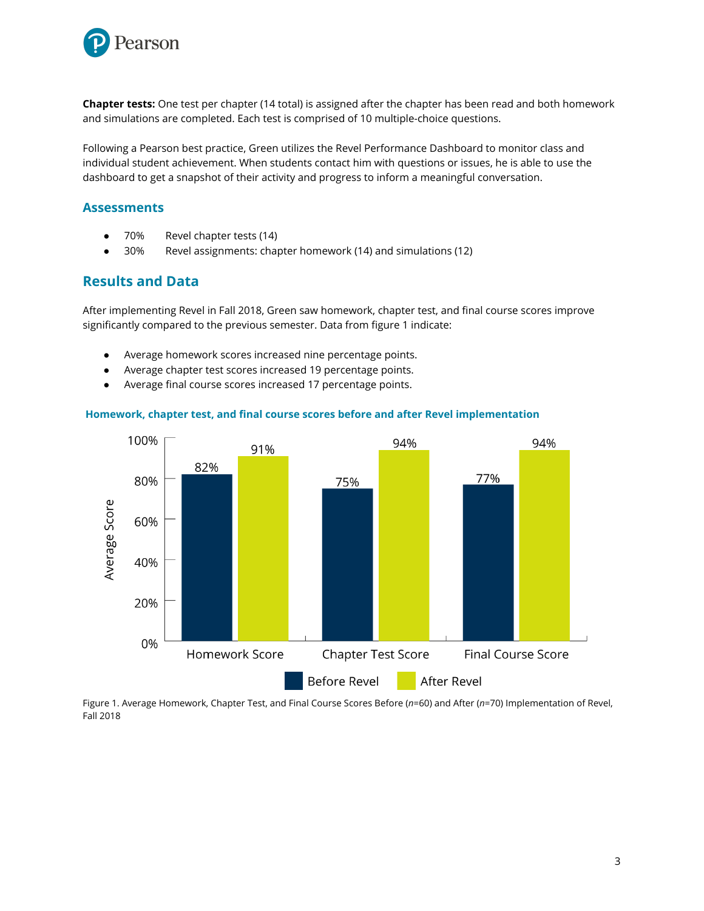

**Chapter tests:** One test per chapter (14 total) is assigned after the chapter has been read and both homework and simulations are completed. Each test is comprised of 10 multiple-choice questions.

Following a Pearson best practice, Green utilizes the Revel Performance Dashboard to monitor class and individual student achievement. When students contact him with questions or issues, he is able to use the dashboard to get a snapshot of their activity and progress to inform a meaningful conversation.

#### **Assessments**

- 70% Revel chapter tests (14)
- **●** 30% Revel assignments: chapter homework (14) and simulations (12)

#### **Results and Data**

After implementing Revel in Fall 2018, Green saw homework, chapter test, and final course scores improve significantly compared to the previous semester. Data from figure 1 indicate:

- Average homework scores increased nine percentage points.
- Average chapter test scores increased 19 percentage points.
- Average final course scores increased 17 percentage points.



#### **Homework, chapter test, and final course scores before and after Revel implementation**

Figure 1. Average Homework, Chapter Test, and Final Course Scores Before (*n*=60) and After (*n*=70) Implementation of Revel, Fall 2018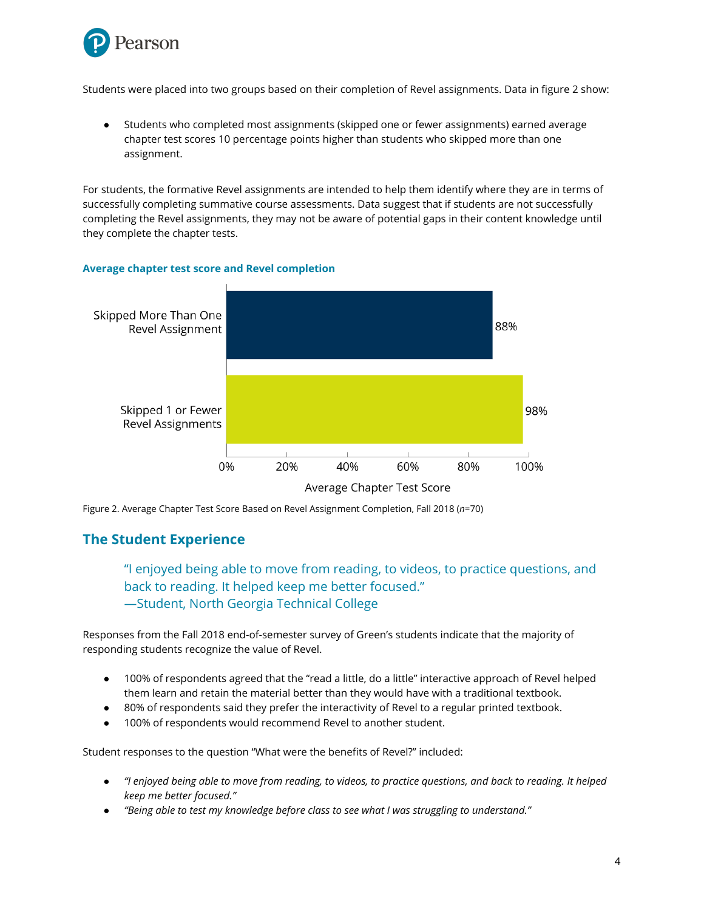

Students were placed into two groups based on their completion of Revel assignments. Data in figure 2 show:

Students who completed most assignments (skipped one or fewer assignments) earned average chapter test scores 10 percentage points higher than students who skipped more than one assignment.

For students, the formative Revel assignments are intended to help them identify where they are in terms of successfully completing summative course assessments. Data suggest that if students are not successfully completing the Revel assignments, they may not be aware of potential gaps in their content knowledge until they complete the chapter tests.



#### **Average chapter test score and Revel completion**

Figure 2. Average Chapter Test Score Based on Revel Assignment Completion, Fall 2018 (*n*=70)

### **The Student Experience**

### "I enjoyed being able to move from reading, to videos, to practice questions, and back to reading. It helped keep me better focused." —Student, North Georgia Technical College

Responses from the Fall 2018 end-of-semester survey of Green's students indicate that the majority of responding students recognize the value of Revel.

- 100% of respondents agreed that the "read a little, do a little" interactive approach of Revel helped them learn and retain the material better than they would have with a traditional textbook.
- 80% of respondents said they prefer the interactivity of Revel to a regular printed textbook.
- 100% of respondents would recommend Revel to another student.

Student responses to the question "What were the benefits of Revel?" included:

- *● "I enjoyed being able to move from reading, to videos, to practice questions, and back to reading. It helped keep me better focused."*
- *● "Being able to test my knowledge before class to see what I was struggling to understand."*